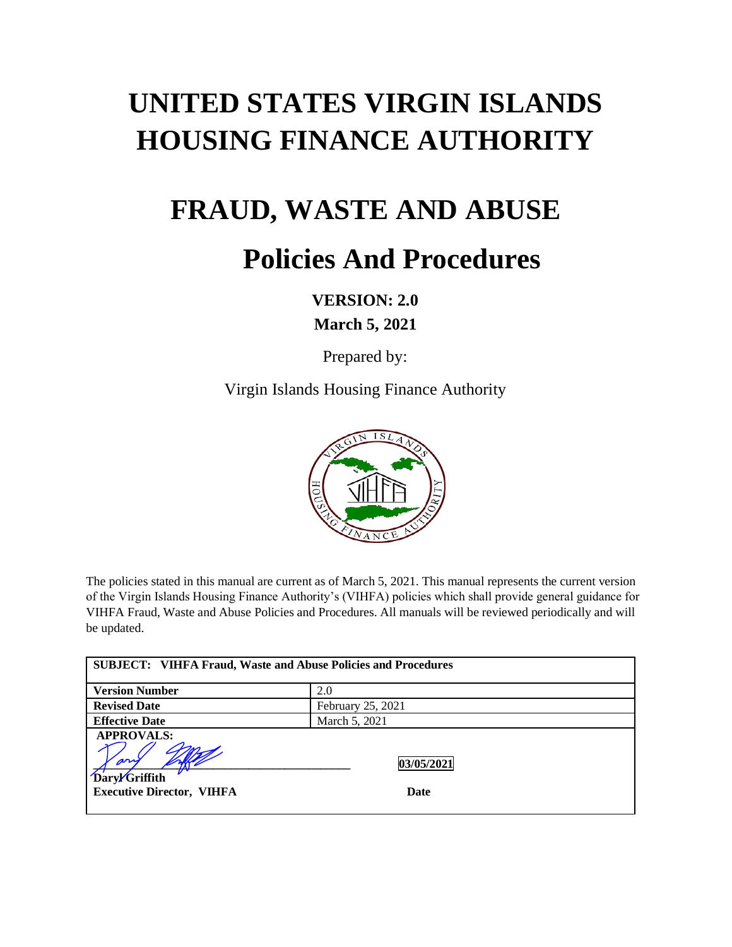# **UNITED STATES VIRGIN ISLANDS HOUSING FINANCE AUTHORITY**

### **FRAUD, WASTE AND ABUSE**

## **Policies And Procedures**

**VERSION: 2.0 March 5, 2021**

Prepared by:

Virgin Islands Housing Finance Authority



The policies stated in this manual are current as of March 5, 2021. This manual represents the current version of the Virgin Islands Housing Finance Authority's (VIHFA) policies which shall provide general guidance for VIHFA Fraud, Waste and Abuse Policies and Procedures. All manuals will be reviewed periodically and will be updated.

| <b>SUBJECT: VIHFA Fraud, Waste and Abuse Policies and Procedures</b>             |                    |
|----------------------------------------------------------------------------------|--------------------|
| <b>Version Number</b>                                                            | 2.0                |
| <b>Revised Date</b>                                                              | February 25, 2021  |
| <b>Effective Date</b>                                                            | March 5, 2021      |
| <b>APPROVALS:</b><br>$\rho$<br>Dary/Griffith<br><b>Executive Director, VIHFA</b> | 03/05/2021<br>Date |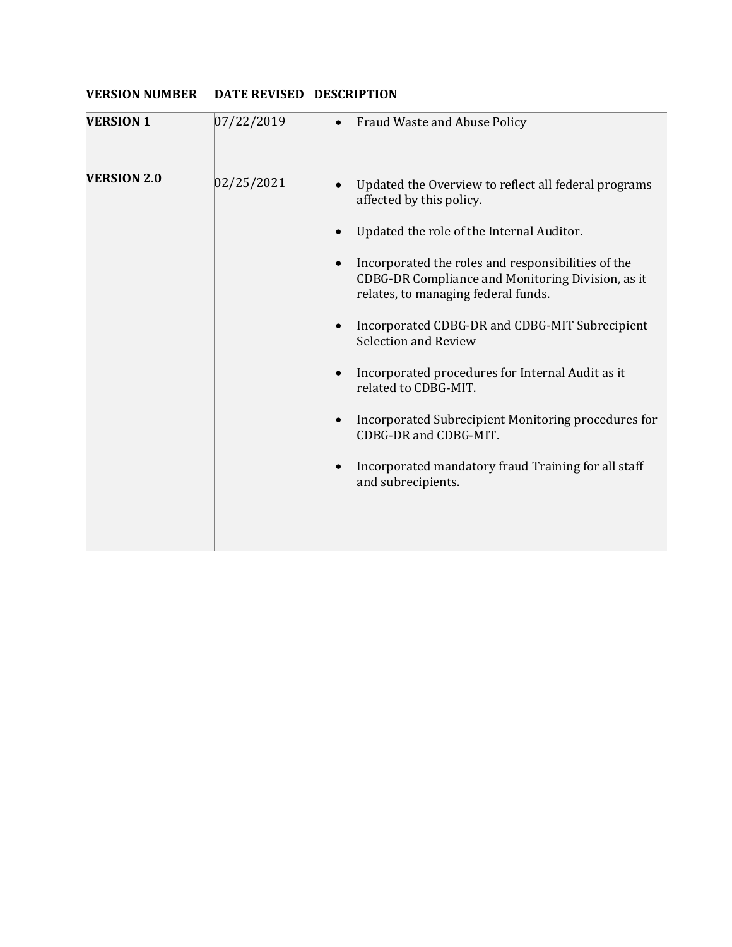#### **VERSION NUMBER DATE REVISED DESCRIPTION**

| <b>VERSION 1</b>   | 07/22/2019 | Fraud Waste and Abuse Policy                                                                                                                   |
|--------------------|------------|------------------------------------------------------------------------------------------------------------------------------------------------|
| <b>VERSION 2.0</b> | 02/25/2021 | Updated the Overview to reflect all federal programs<br>affected by this policy.<br>Updated the role of the Internal Auditor.                  |
|                    |            | Incorporated the roles and responsibilities of the<br>CDBG-DR Compliance and Monitoring Division, as it<br>relates, to managing federal funds. |
|                    |            | Incorporated CDBG-DR and CDBG-MIT Subrecipient<br>Selection and Review                                                                         |
|                    |            | Incorporated procedures for Internal Audit as it<br>related to CDBG-MIT.                                                                       |
|                    |            | Incorporated Subrecipient Monitoring procedures for<br>CDBG-DR and CDBG-MIT.                                                                   |
|                    |            | Incorporated mandatory fraud Training for all staff<br>and subrecipients.                                                                      |
|                    |            |                                                                                                                                                |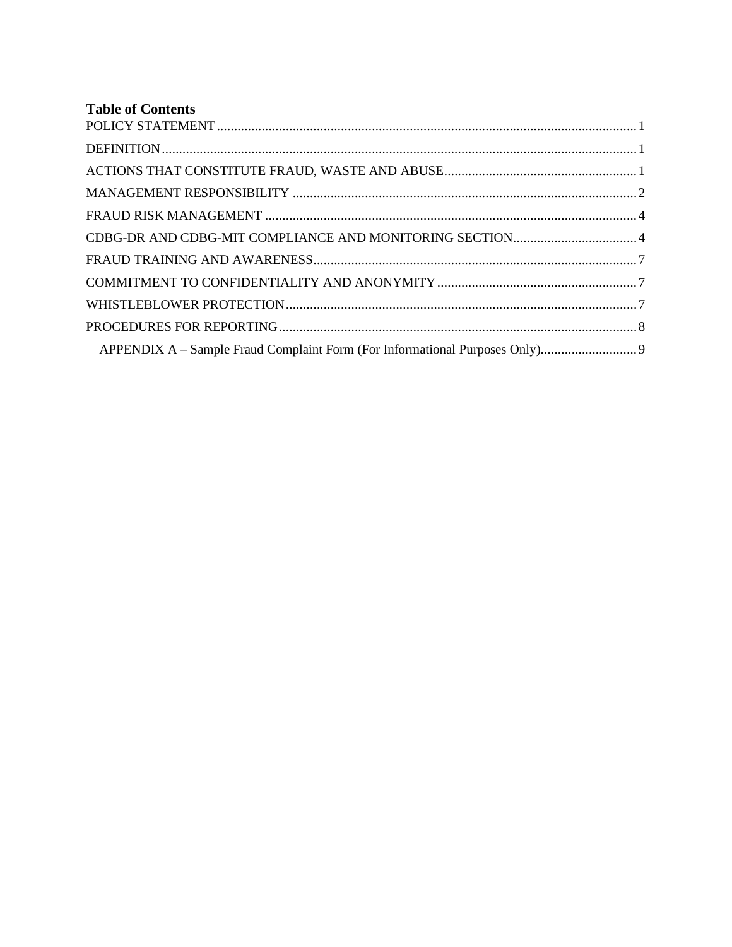| <b>Table of Contents</b> |  |
|--------------------------|--|
|                          |  |
|                          |  |
|                          |  |
|                          |  |
|                          |  |
|                          |  |
|                          |  |
|                          |  |
|                          |  |
|                          |  |
|                          |  |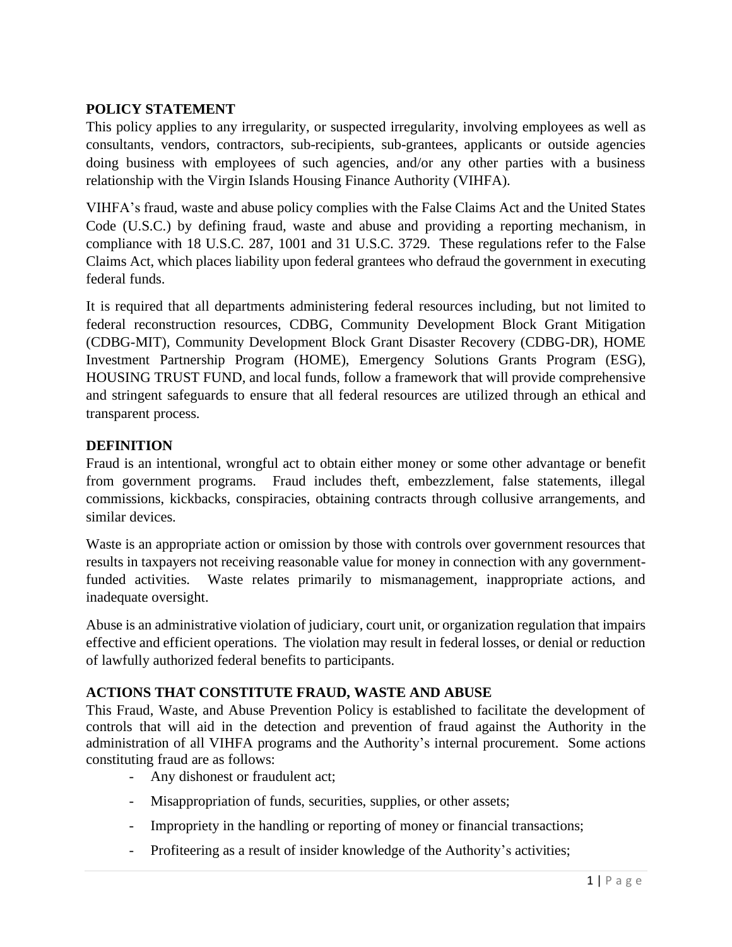#### <span id="page-3-0"></span>**POLICY STATEMENT**

This policy applies to any irregularity, or suspected irregularity, involving employees as well as consultants, vendors, contractors, sub-recipients, sub-grantees, applicants or outside agencies doing business with employees of such agencies, and/or any other parties with a business relationship with the Virgin Islands Housing Finance Authority (VIHFA).

VIHFA's fraud, waste and abuse policy complies with the False Claims Act and the United States Code (U.S.C.) by defining fraud, waste and abuse and providing a reporting mechanism, in compliance with 18 U.S.C. 287, 1001 and 31 U.S.C. 3729. These regulations refer to the False Claims Act, which places liability upon federal grantees who defraud the government in executing federal funds.

It is required that all departments administering federal resources including, but not limited to federal reconstruction resources, CDBG, Community Development Block Grant Mitigation (CDBG-MIT), Community Development Block Grant Disaster Recovery (CDBG-DR), HOME Investment Partnership Program (HOME), Emergency Solutions Grants Program (ESG), HOUSING TRUST FUND, and local funds, follow a framework that will provide comprehensive and stringent safeguards to ensure that all federal resources are utilized through an ethical and transparent process.

#### <span id="page-3-1"></span>**DEFINITION**

Fraud is an intentional, wrongful act to obtain either money or some other advantage or benefit from government programs. Fraud includes theft, embezzlement, false statements, illegal commissions, kickbacks, conspiracies, obtaining contracts through collusive arrangements, and similar devices.

Waste is an appropriate action or omission by those with controls over government resources that results in taxpayers not receiving reasonable value for money in connection with any governmentfunded activities. Waste relates primarily to mismanagement, inappropriate actions, and inadequate oversight.

Abuse is an administrative violation of judiciary, court unit, or organization regulation that impairs effective and efficient operations. The violation may result in federal losses, or denial or reduction of lawfully authorized federal benefits to participants.

#### <span id="page-3-2"></span>**ACTIONS THAT CONSTITUTE FRAUD, WASTE AND ABUSE**

This Fraud, Waste, and Abuse Prevention Policy is established to facilitate the development of controls that will aid in the detection and prevention of fraud against the Authority in the administration of all VIHFA programs and the Authority's internal procurement. Some actions constituting fraud are as follows:

- Any dishonest or fraudulent act;
- Misappropriation of funds, securities, supplies, or other assets;
- Impropriety in the handling or reporting of money or financial transactions;
- Profiteering as a result of insider knowledge of the Authority's activities;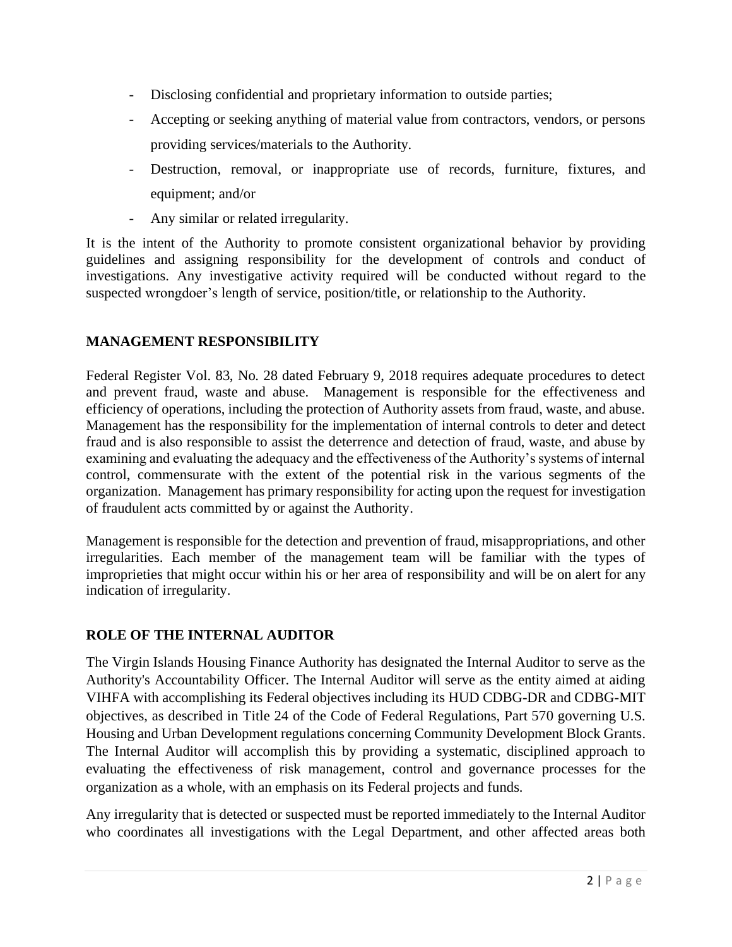- Disclosing confidential and proprietary information to outside parties;
- Accepting or seeking anything of material value from contractors, vendors, or persons providing services/materials to the Authority.
- Destruction, removal, or inappropriate use of records, furniture, fixtures, and equipment; and/or
- Any similar or related irregularity.

It is the intent of the Authority to promote consistent organizational behavior by providing guidelines and assigning responsibility for the development of controls and conduct of investigations. Any investigative activity required will be conducted without regard to the suspected wrongdoer's length of service, position/title, or relationship to the Authority.

#### <span id="page-4-0"></span>**MANAGEMENT RESPONSIBILITY**

Federal Register Vol. 83, No. 28 dated February 9, 2018 requires adequate procedures to detect and prevent fraud, waste and abuse. Management is responsible for the effectiveness and efficiency of operations, including the protection of Authority assets from fraud, waste, and abuse. Management has the responsibility for the implementation of internal controls to deter and detect fraud and is also responsible to assist the deterrence and detection of fraud, waste, and abuse by examining and evaluating the adequacy and the effectiveness of the Authority's systems of internal control, commensurate with the extent of the potential risk in the various segments of the organization. Management has primary responsibility for acting upon the request for investigation of fraudulent acts committed by or against the Authority.

Management is responsible for the detection and prevention of fraud, misappropriations, and other irregularities. Each member of the management team will be familiar with the types of improprieties that might occur within his or her area of responsibility and will be on alert for any indication of irregularity.

#### **ROLE OF THE INTERNAL AUDITOR**

The Virgin Islands Housing Finance Authority has designated the Internal Auditor to serve as the Authority's Accountability Officer. The Internal Auditor will serve as the entity aimed at aiding VIHFA with accomplishing its Federal objectives including its HUD CDBG-DR and CDBG-MIT objectives, as described in Title 24 of the Code of Federal Regulations, Part 570 governing U.S. Housing and Urban Development regulations concerning Community Development Block Grants. The Internal Auditor will accomplish this by providing a systematic, disciplined approach to evaluating the effectiveness of risk management, control and governance processes for the organization as a whole, with an emphasis on its Federal projects and funds.

Any irregularity that is detected or suspected must be reported immediately to the Internal Auditor who coordinates all investigations with the Legal Department, and other affected areas both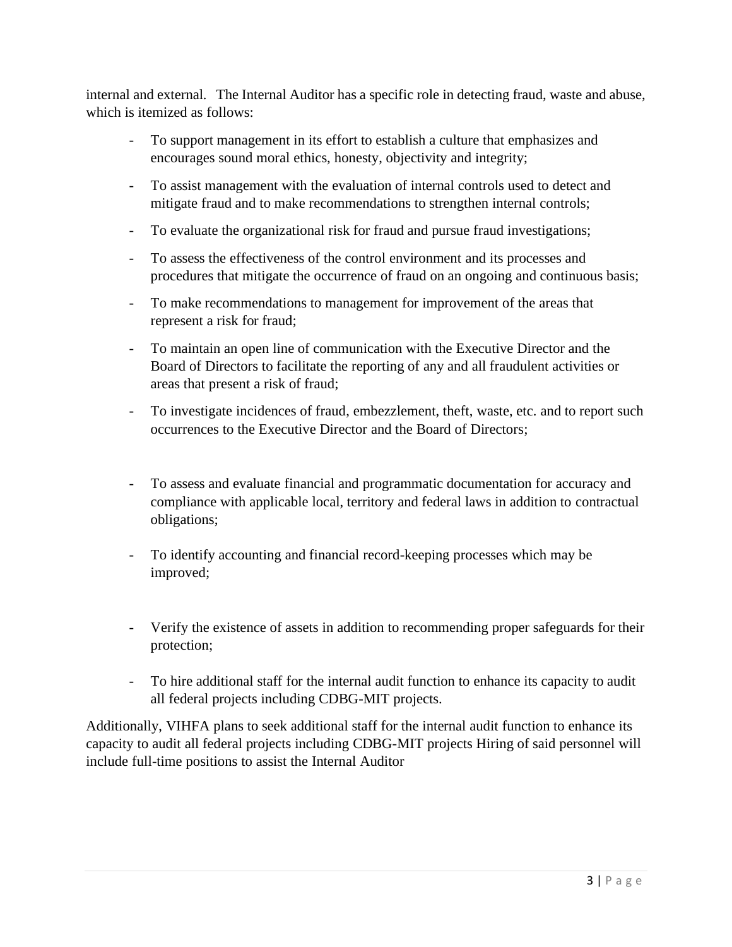internal and external. The Internal Auditor has a specific role in detecting fraud, waste and abuse, which is itemized as follows:

- To support management in its effort to establish a culture that emphasizes and encourages sound moral ethics, honesty, objectivity and integrity;
- To assist management with the evaluation of internal controls used to detect and mitigate fraud and to make recommendations to strengthen internal controls;
- To evaluate the organizational risk for fraud and pursue fraud investigations;
- To assess the effectiveness of the control environment and its processes and procedures that mitigate the occurrence of fraud on an ongoing and continuous basis;
- To make recommendations to management for improvement of the areas that represent a risk for fraud;
- To maintain an open line of communication with the Executive Director and the Board of Directors to facilitate the reporting of any and all fraudulent activities or areas that present a risk of fraud;
- To investigate incidences of fraud, embezzlement, theft, waste, etc. and to report such occurrences to the Executive Director and the Board of Directors;
- To assess and evaluate financial and programmatic documentation for accuracy and compliance with applicable local, territory and federal laws in addition to contractual obligations;
- To identify accounting and financial record-keeping processes which may be improved;
- Verify the existence of assets in addition to recommending proper safeguards for their protection;
- To hire additional staff for the internal audit function to enhance its capacity to audit all federal projects including CDBG-MIT projects.

Additionally, VIHFA plans to seek additional staff for the internal audit function to enhance its capacity to audit all federal projects including CDBG-MIT projects Hiring of said personnel will include full-time positions to assist the Internal Auditor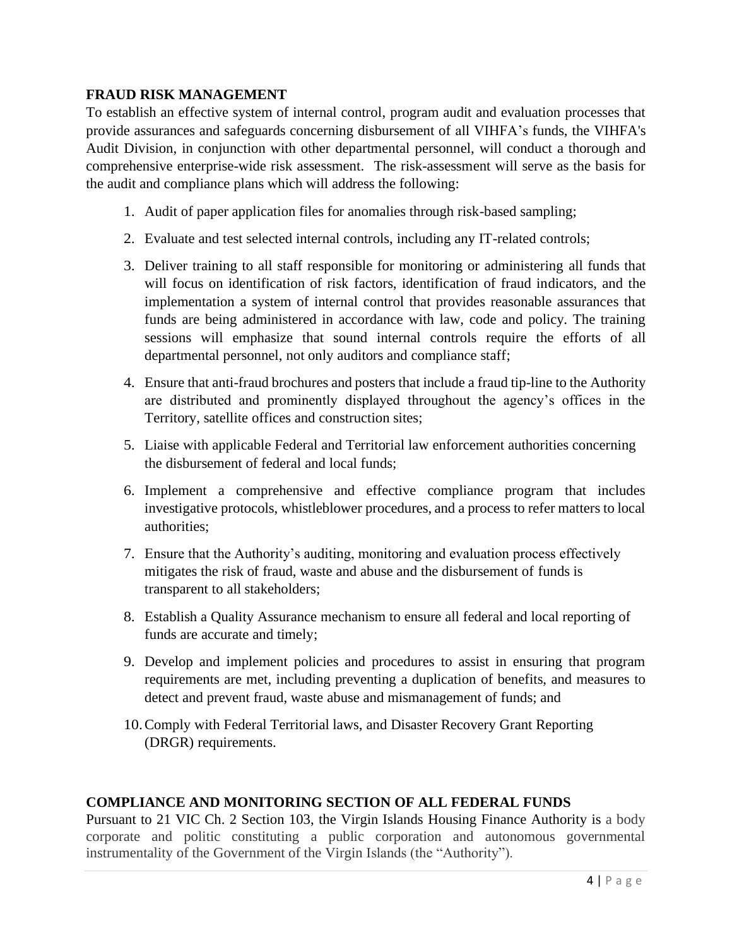#### <span id="page-6-0"></span>**FRAUD RISK MANAGEMENT**

To establish an effective system of internal control, program audit and evaluation processes that provide assurances and safeguards concerning disbursement of all VIHFA's funds, the VIHFA's Audit Division, in conjunction with other departmental personnel, will conduct a thorough and comprehensive enterprise-wide risk assessment. The risk-assessment will serve as the basis for the audit and compliance plans which will address the following:

- 1. Audit of paper application files for anomalies through risk-based sampling;
- 2. Evaluate and test selected internal controls, including any IT-related controls;
- 3. Deliver training to all staff responsible for monitoring or administering all funds that will focus on identification of risk factors, identification of fraud indicators, and the implementation a system of internal control that provides reasonable assurances that funds are being administered in accordance with law, code and policy. The training sessions will emphasize that sound internal controls require the efforts of all departmental personnel, not only auditors and compliance staff;
- 4. Ensure that anti-fraud brochures and posters that include a fraud tip-line to the Authority are distributed and prominently displayed throughout the agency's offices in the Territory, satellite offices and construction sites;
- 5. Liaise with applicable Federal and Territorial law enforcement authorities concerning the disbursement of federal and local funds;
- 6. Implement a comprehensive and effective compliance program that includes investigative protocols, whistleblower procedures, and a process to refer matters to local authorities;
- 7. Ensure that the Authority's auditing, monitoring and evaluation process effectively mitigates the risk of fraud, waste and abuse and the disbursement of funds is transparent to all stakeholders;
- 8. Establish a Quality Assurance mechanism to ensure all federal and local reporting of funds are accurate and timely;
- 9. Develop and implement policies and procedures to assist in ensuring that program requirements are met, including preventing a duplication of benefits, and measures to detect and prevent fraud, waste abuse and mismanagement of funds; and
- 10.Comply with Federal Territorial laws, and Disaster Recovery Grant Reporting (DRGR) requirements.

#### <span id="page-6-1"></span>**COMPLIANCE AND MONITORING SECTION OF ALL FEDERAL FUNDS**

Pursuant to 21 VIC Ch. 2 Section 103, the Virgin Islands Housing Finance Authority is a body corporate and politic constituting a public corporation and autonomous governmental instrumentality of the Government of the Virgin Islands (the "Authority").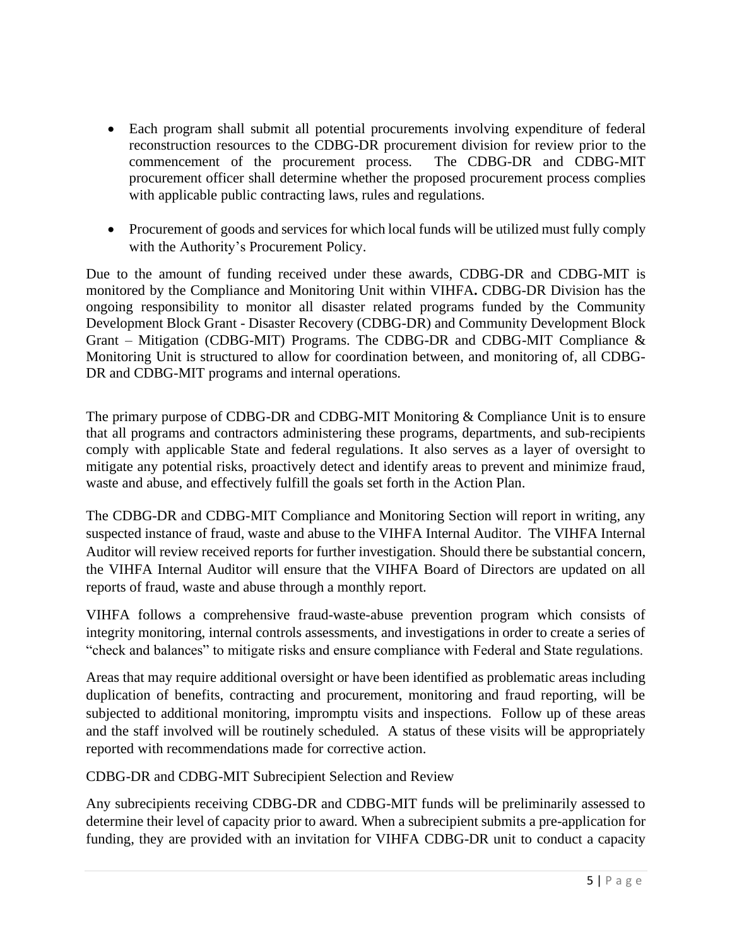- Each program shall submit all potential procurements involving expenditure of federal reconstruction resources to the CDBG-DR procurement division for review prior to the commencement of the procurement process. The CDBG-DR and CDBG-MIT procurement officer shall determine whether the proposed procurement process complies with applicable public contracting laws, rules and regulations.
- Procurement of goods and services for which local funds will be utilized must fully comply with the Authority's Procurement Policy.

Due to the amount of funding received under these awards, CDBG-DR and CDBG-MIT is monitored by the Compliance and Monitoring Unit within VIHFA**.** CDBG-DR Division has the ongoing responsibility to monitor all disaster related programs funded by the Community Development Block Grant - Disaster Recovery (CDBG-DR) and Community Development Block Grant – Mitigation (CDBG-MIT) Programs. The CDBG-DR and CDBG-MIT Compliance  $\&$ Monitoring Unit is structured to allow for coordination between, and monitoring of, all CDBG-DR and CDBG-MIT programs and internal operations.

The primary purpose of CDBG-DR and CDBG-MIT Monitoring & Compliance Unit is to ensure that all programs and contractors administering these programs, departments, and sub-recipients comply with applicable State and federal regulations. It also serves as a layer of oversight to mitigate any potential risks, proactively detect and identify areas to prevent and minimize fraud, waste and abuse, and effectively fulfill the goals set forth in the Action Plan.

The CDBG-DR and CDBG-MIT Compliance and Monitoring Section will report in writing, any suspected instance of fraud, waste and abuse to the VIHFA Internal Auditor. The VIHFA Internal Auditor will review received reports for further investigation. Should there be substantial concern, the VIHFA Internal Auditor will ensure that the VIHFA Board of Directors are updated on all reports of fraud, waste and abuse through a monthly report.

VIHFA follows a comprehensive fraud-waste-abuse prevention program which consists of integrity monitoring, internal controls assessments, and investigations in order to create a series of "check and balances" to mitigate risks and ensure compliance with Federal and State regulations.

Areas that may require additional oversight or have been identified as problematic areas including duplication of benefits, contracting and procurement, monitoring and fraud reporting, will be subjected to additional monitoring, impromptu visits and inspections. Follow up of these areas and the staff involved will be routinely scheduled. A status of these visits will be appropriately reported with recommendations made for corrective action.

CDBG-DR and CDBG-MIT Subrecipient Selection and Review

Any subrecipients receiving CDBG-DR and CDBG-MIT funds will be preliminarily assessed to determine their level of capacity prior to award. When a subrecipient submits a pre-application for funding, they are provided with an invitation for VIHFA CDBG-DR unit to conduct a capacity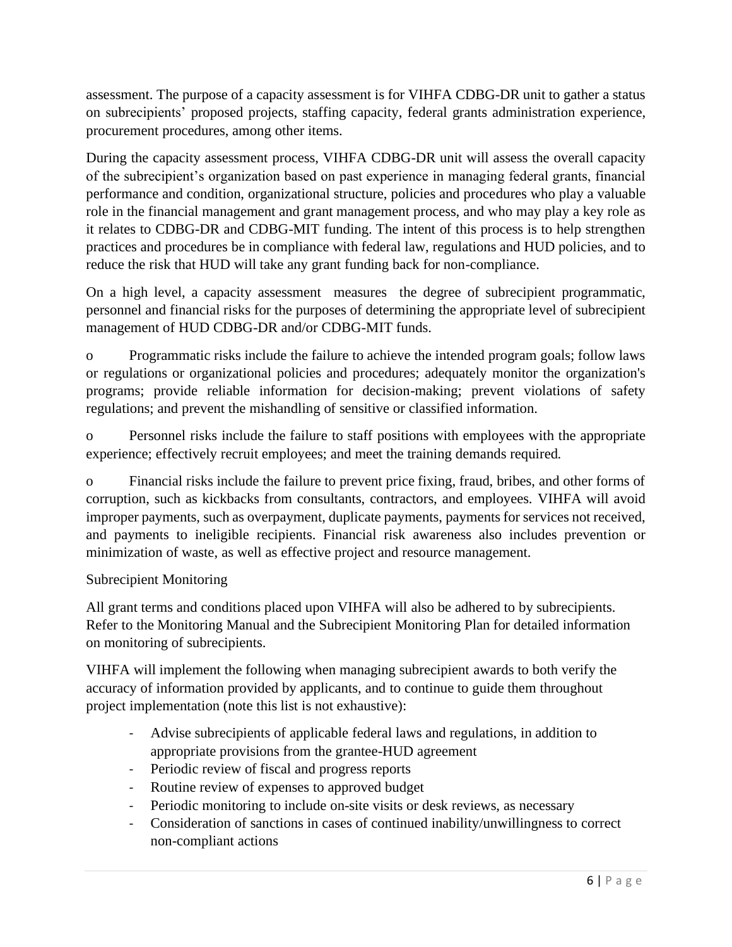assessment. The purpose of a capacity assessment is for VIHFA CDBG-DR unit to gather a status on subrecipients' proposed projects, staffing capacity, federal grants administration experience, procurement procedures, among other items.

During the capacity assessment process, VIHFA CDBG-DR unit will assess the overall capacity of the subrecipient's organization based on past experience in managing federal grants, financial performance and condition, organizational structure, policies and procedures who play a valuable role in the financial management and grant management process, and who may play a key role as it relates to CDBG-DR and CDBG-MIT funding. The intent of this process is to help strengthen practices and procedures be in compliance with federal law, regulations and HUD policies, and to reduce the risk that HUD will take any grant funding back for non-compliance.

On a high level, a capacity assessment measures the degree of subrecipient programmatic, personnel and financial risks for the purposes of determining the appropriate level of subrecipient management of HUD CDBG-DR and/or CDBG-MIT funds.

o Programmatic risks include the failure to achieve the intended program goals; follow laws or regulations or organizational policies and procedures; adequately monitor the organization's programs; provide reliable information for decision-making; prevent violations of safety regulations; and prevent the mishandling of sensitive or classified information.

o Personnel risks include the failure to staff positions with employees with the appropriate experience; effectively recruit employees; and meet the training demands required.

o Financial risks include the failure to prevent price fixing, fraud, bribes, and other forms of corruption, such as kickbacks from consultants, contractors, and employees. VIHFA will avoid improper payments, such as overpayment, duplicate payments, payments for services not received, and payments to ineligible recipients. Financial risk awareness also includes prevention or minimization of waste, as well as effective project and resource management.

#### Subrecipient Monitoring

All grant terms and conditions placed upon VIHFA will also be adhered to by subrecipients. Refer to the Monitoring Manual and the Subrecipient Monitoring Plan for detailed information on monitoring of subrecipients.

VIHFA will implement the following when managing subrecipient awards to both verify the accuracy of information provided by applicants, and to continue to guide them throughout project implementation (note this list is not exhaustive):

- Advise subrecipients of applicable federal laws and regulations, in addition to appropriate provisions from the grantee-HUD agreement
- Periodic review of fiscal and progress reports
- Routine review of expenses to approved budget
- Periodic monitoring to include on-site visits or desk reviews, as necessary
- Consideration of sanctions in cases of continued inability/unwillingness to correct non-compliant actions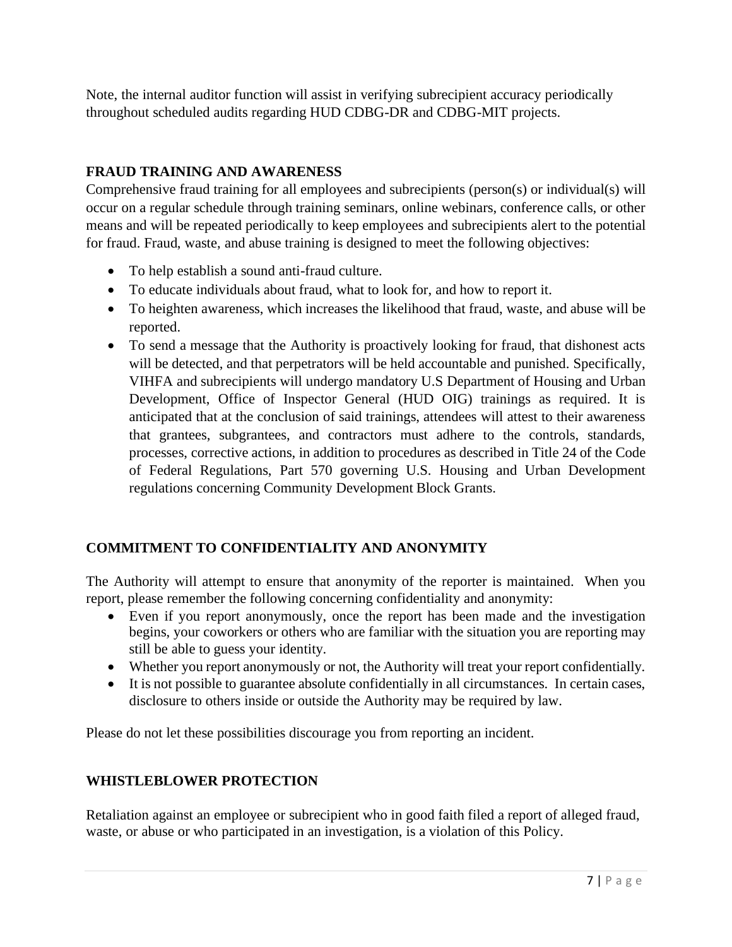Note, the internal auditor function will assist in verifying subrecipient accuracy periodically throughout scheduled audits regarding HUD CDBG-DR and CDBG-MIT projects.

#### <span id="page-9-0"></span>**FRAUD TRAINING AND AWARENESS**

Comprehensive fraud training for all employees and subrecipients (person(s) or individual(s) will occur on a regular schedule through training seminars, online webinars, conference calls, or other means and will be repeated periodically to keep employees and subrecipients alert to the potential for fraud. Fraud, waste, and abuse training is designed to meet the following objectives:

- To help establish a sound anti-fraud culture.
- To educate individuals about fraud, what to look for, and how to report it.
- To heighten awareness, which increases the likelihood that fraud, waste, and abuse will be reported.
- To send a message that the Authority is proactively looking for fraud, that dishonest acts will be detected, and that perpetrators will be held accountable and punished. Specifically, VIHFA and subrecipients will undergo mandatory U.S Department of Housing and Urban Development, Office of Inspector General (HUD OIG) trainings as required. It is anticipated that at the conclusion of said trainings, attendees will attest to their awareness that grantees, subgrantees, and contractors must adhere to the controls, standards, processes, corrective actions, in addition to procedures as described in Title 24 of the Code of Federal Regulations, Part 570 governing U.S. Housing and Urban Development regulations concerning Community Development Block Grants.

#### <span id="page-9-1"></span>**COMMITMENT TO CONFIDENTIALITY AND ANONYMITY**

The Authority will attempt to ensure that anonymity of the reporter is maintained. When you report, please remember the following concerning confidentiality and anonymity:

- Even if you report anonymously, once the report has been made and the investigation begins, your coworkers or others who are familiar with the situation you are reporting may still be able to guess your identity.
- Whether you report anonymously or not, the Authority will treat your report confidentially.
- It is not possible to guarantee absolute confidentially in all circumstances. In certain cases, disclosure to others inside or outside the Authority may be required by law.

Please do not let these possibilities discourage you from reporting an incident.

#### <span id="page-9-2"></span>**WHISTLEBLOWER PROTECTION**

Retaliation against an employee or subrecipient who in good faith filed a report of alleged fraud, waste, or abuse or who participated in an investigation, is a violation of this Policy.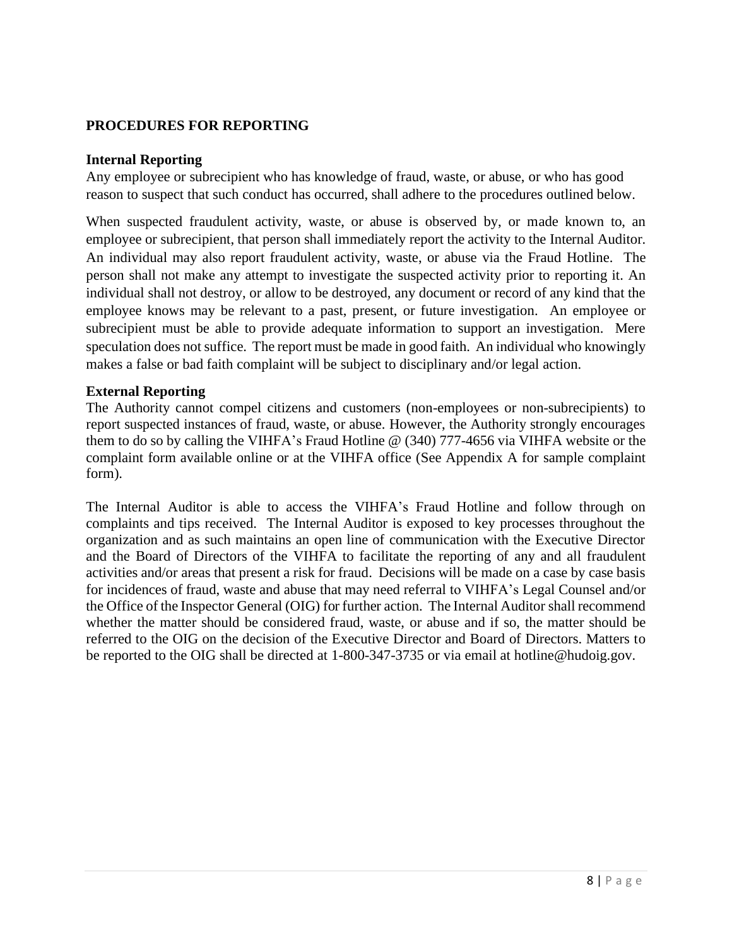#### <span id="page-10-0"></span>**PROCEDURES FOR REPORTING**

#### **Internal Reporting**

Any employee or subrecipient who has knowledge of fraud, waste, or abuse, or who has good reason to suspect that such conduct has occurred, shall adhere to the procedures outlined below.

When suspected fraudulent activity, waste, or abuse is observed by, or made known to, an employee or subrecipient, that person shall immediately report the activity to the Internal Auditor. An individual may also report fraudulent activity, waste, or abuse via the Fraud Hotline. The person shall not make any attempt to investigate the suspected activity prior to reporting it. An individual shall not destroy, or allow to be destroyed, any document or record of any kind that the employee knows may be relevant to a past, present, or future investigation. An employee or subrecipient must be able to provide adequate information to support an investigation. Mere speculation does not suffice. The report must be made in good faith. An individual who knowingly makes a false or bad faith complaint will be subject to disciplinary and/or legal action.

#### **External Reporting**

The Authority cannot compel citizens and customers (non-employees or non-subrecipients) to report suspected instances of fraud, waste, or abuse. However, the Authority strongly encourages them to do so by calling the VIHFA's Fraud Hotline @ (340) 777-4656 via VIHFA website or the complaint form available online or at the VIHFA office (See Appendix A for sample complaint form).

The Internal Auditor is able to access the VIHFA's Fraud Hotline and follow through on complaints and tips received. The Internal Auditor is exposed to key processes throughout the organization and as such maintains an open line of communication with the Executive Director and the Board of Directors of the VIHFA to facilitate the reporting of any and all fraudulent activities and/or areas that present a risk for fraud. Decisions will be made on a case by case basis for incidences of fraud, waste and abuse that may need referral to VIHFA's Legal Counsel and/or the Office of the Inspector General (OIG) for further action. The Internal Auditor shall recommend whether the matter should be considered fraud, waste, or abuse and if so, the matter should be referred to the OIG on the decision of the Executive Director and Board of Directors. Matters to be reported to the OIG shall be directed at 1-800-347-3735 or via email at hotline@hudoig.gov.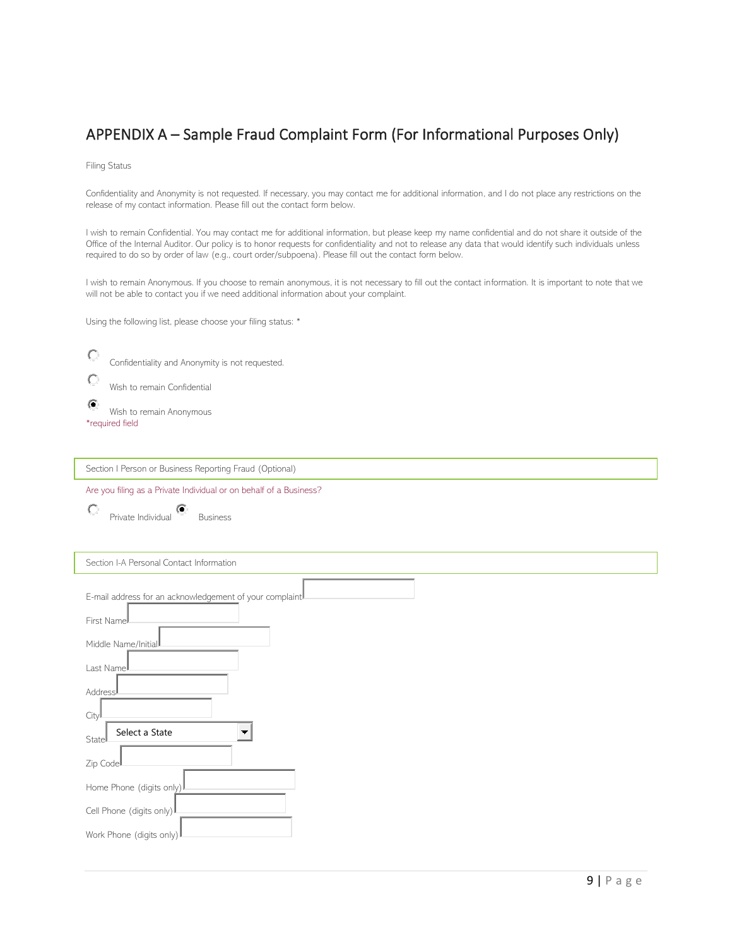### <span id="page-11-0"></span>APPENDIX A – Sample Fraud Complaint Form (For Informational Purposes Only)

Filing Status

Confidentiality and Anonymity is not requested. If necessary, you may contact me for additional information, and I do not place any restrictions on the release of my contact information. Please fill out the contact form below.

I wish to remain Confidential. You may contact me for additional information, but please keep my name confidential and do not share it outside of the Office of the Internal Auditor. Our policy is to honor requests for confidentiality and not to release any data that would identify such individuals unless required to do so by order of law (e.g., court order/subpoena). Please fill out the contact form below.

I wish to remain Anonymous. If you choose to remain anonymous, it is not necessary to fill out the contact information. It is important to note that we will not be able to contact you if we need additional information about your complaint.

Using the following list, please choose your filing status: \*



Section I Person or Business Reporting Fraud (Optional)

Are you filing as a Private Individual or on behalf of a Business?

 $\circ$ **Private Individual C**<br>Business

| Section I-A Personal Contact Information                |
|---------------------------------------------------------|
| E-mail address for an acknowledgement of your complaint |
|                                                         |
| First Namel                                             |
| Middle Name/Initial                                     |
| Last Namel                                              |
| Address                                                 |
| City                                                    |
| Select a State<br>▼<br>Statel                           |
| Zip Codel                                               |
| Home Phone (digits only)                                |
| Cell Phone (digits only)                                |
| Work Phone (digits only)                                |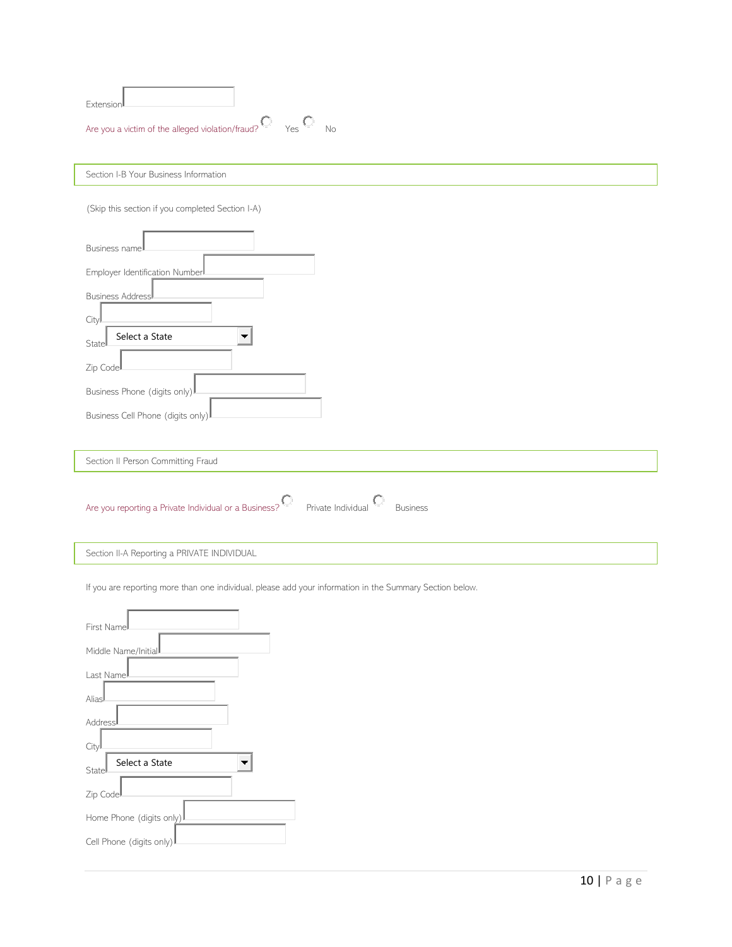| Extension                                                                                                |
|----------------------------------------------------------------------------------------------------------|
| Are you a victim of the alleged violation/fraud?<br>No<br>Yes                                            |
| Section I-B Your Business Information                                                                    |
|                                                                                                          |
| (Skip this section if you completed Section I-A)                                                         |
| Business name                                                                                            |
| Employer Identification Number                                                                           |
| Business Address                                                                                         |
| Cityl                                                                                                    |
| Select a State<br>Statel                                                                                 |
| Zip Codel                                                                                                |
| Business Phone (digits only)                                                                             |
| Business Cell Phone (digits only)                                                                        |
|                                                                                                          |
| Section II Person Committing Fraud                                                                       |
| Private Individual<br>Are you reporting a Private Individual or a Business?<br><b>Business</b>           |
|                                                                                                          |
| Section II-A Reporting a PRIVATE INDIVIDUAL                                                              |
| If you are reporting more than one individual, please add your information in the Summary Section below. |
| First Name                                                                                               |
| Middle Name/Initial                                                                                      |
| Last Name                                                                                                |
| Alias                                                                                                    |
| Address                                                                                                  |
| City                                                                                                     |
| Select a State<br>State                                                                                  |
| Zip Code                                                                                                 |
| Home Phone (digits only)                                                                                 |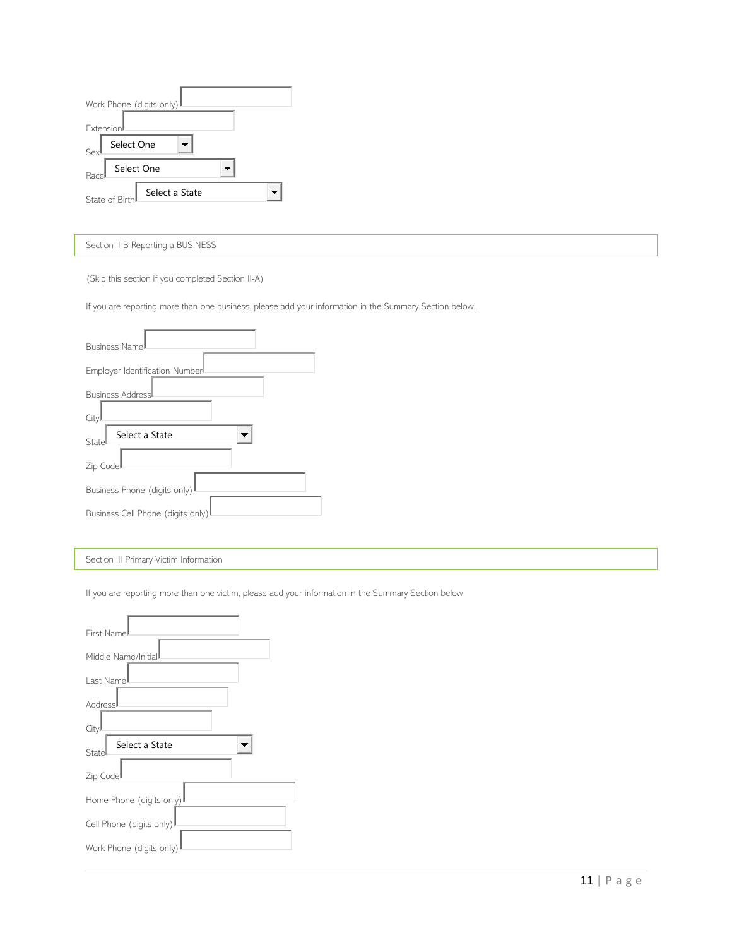| Work Phone (digits only)<br><b>Extension</b> |  |
|----------------------------------------------|--|
| Select One<br>Sex                            |  |
| Select One<br>Race                           |  |
| Select a State<br>State of Birth             |  |

Section II-B Reporting a BUSINESS

(Skip this section if you completed Section II-A)

If you are reporting more than one business, please add your information in the Summary Section below.

| <b>Business Namel</b>          |
|--------------------------------|
| Employer Identification Number |
| <b>Business Address</b>        |
| City                           |
| Select a State                 |
| Statel                         |
| Zip Codel                      |
| Business Phone (digits only)   |

Section III Primary Victim Information

If you are reporting more than one victim, please add your information in the Summary Section below.